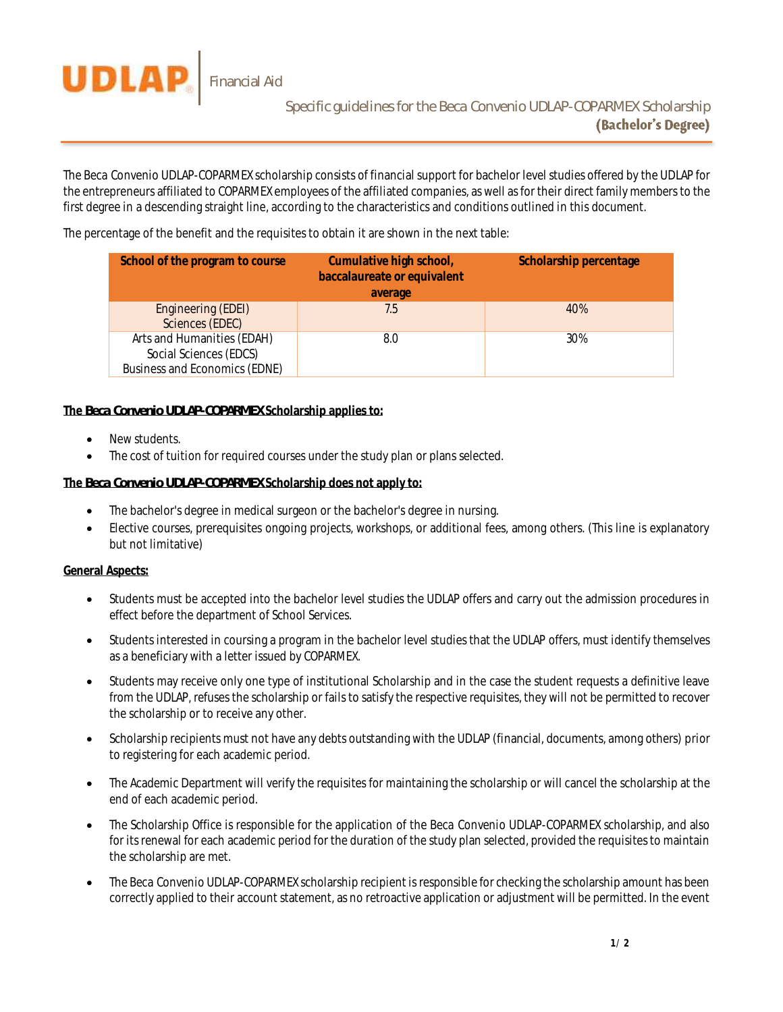

The *Beca Convenio UDLAP-COPARMEX* scholarship consists of financial support for bachelor level studies offered by the UDLAP for the entrepreneurs affiliated to COPARMEX employees of the affiliated companies, as well as for their direct family members to the first degree in a descending straight line, according to the characteristics and conditions outlined in this document.

The percentage of the benefit and the requisites to obtain it are shown in the next table:

| School of the program to course                                                       | Cumulative high school,<br>baccalaureate or equivalent<br>average | Scholarship percentage |
|---------------------------------------------------------------------------------------|-------------------------------------------------------------------|------------------------|
| Engineering (EDEI)<br>Sciences (EDEC)                                                 | 7.5                                                               | 40%                    |
| Arts and Humanities (EDAH)<br>Social Sciences (EDCS)<br>Business and Economics (EDNE) | 8.0                                                               | 30%                    |

## **The** *Beca Convenio UDLAP-COPARMEX* **Scholarship applies to:**

- New students.
- The cost of tuition for required courses under the study plan or plans selected.

## **The** *Beca Convenio UDLAP-COPARMEX* **Scholarship does not apply to:**

- The bachelor's degree in medical surgeon or the bachelor's degree in nursing.
- Elective courses, prerequisites ongoing projects, workshops, or additional fees, among others. (This line is explanatory but not limitative)

## **General Aspects:**

- Students must be accepted into the bachelor level studies the UDLAP offers and carry out the admission procedures in effect before the department of School Services.
- Students interested in coursing a program in the bachelor level studies that the UDLAP offers, must identify themselves as a beneficiary with a letter issued by COPARMEX.
- Students may receive only one type of institutional Scholarship and in the case the student requests a definitive leave from the UDLAP, refuses the scholarship or fails to satisfy the respective requisites, they will not be permitted to recover the scholarship or to receive any other.
- Scholarship recipients must not have any debts outstanding with the UDLAP (financial, documents, among others) prior to registering for each academic period.
- The Academic Department will verify the requisites for maintaining the scholarship or will cancel the scholarship at the end of each academic period.
- The Scholarship Office is responsible for the application of the *Beca Convenio UDLAP-COPARMEX* scholarship, and also for its renewal for each academic period for the duration of the study plan selected, provided the requisites to maintain the scholarship are met.
- The *Beca Convenio UDLAP-COPARMEX* scholarship recipient is responsible for checking the scholarship amount has been correctly applied to their account statement, as no retroactive application or adjustment will be permitted. In the event